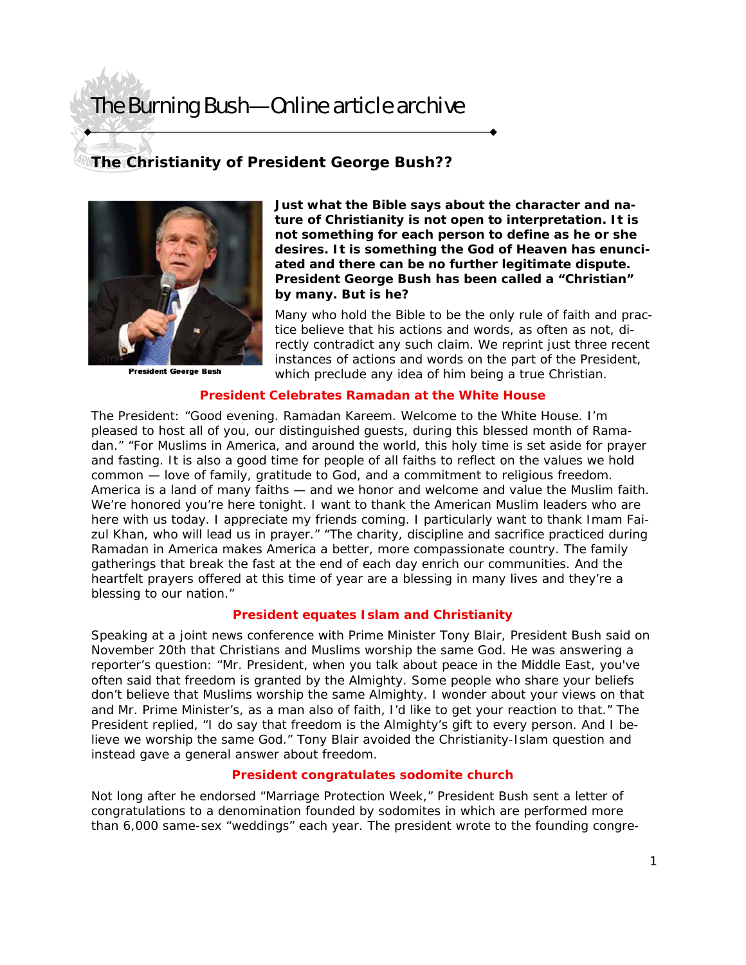# The Burning Bush—Online article archive

## **The Christianity of President George Bush??**



President George Bush

**Just what the Bible says about the character and nature of Christianity is not open to interpretation. It is not something for each person to define as he or she desires. It is something the God of Heaven has enunciated and there can be no further legitimate dispute. President George Bush has been called a "Christian" by many. But is he?** 

Many who hold the Bible to be the only rule of faith and practice believe that his actions and words, as often as not, directly contradict any such claim. We reprint just three recent instances of actions and words on the part of the President, which preclude any idea of him being a true Christian.

### **President Celebrates Ramadan at the White House**

The President: "Good evening. Ramadan Kareem. Welcome to the White House. I'm pleased to host all of you, our distinguished guests, during this blessed month of Ramadan." "For Muslims in America, and around the world, this holy time is set aside for prayer and fasting. It is also a good time for people of all faiths to reflect on the values we hold common — love of family, gratitude to God, and a commitment to religious freedom. America is a land of many faiths — and we honor and welcome and value the Muslim faith. We're honored you're here tonight. I want to thank the American Muslim leaders who are here with us today. I appreciate my friends coming. I particularly want to thank Imam Faizul Khan, who will lead us in prayer." "The charity, discipline and sacrifice practiced during Ramadan in America makes America a better, more compassionate country. The family gatherings that break the fast at the end of each day enrich our communities. And the heartfelt prayers offered at this time of year are a blessing in many lives and they're a blessing to our nation."

#### **President equates Islam and Christianity**

Speaking at a joint news conference with Prime Minister Tony Blair, President Bush said on November 20th that Christians and Muslims worship the same God. He was answering a reporter's question: "Mr. President, when you talk about peace in the Middle East, you've often said that freedom is granted by the Almighty. Some people who share your beliefs don't believe that Muslims worship the same Almighty. I wonder about your views on that and Mr. Prime Minister's, as a man also of faith, I'd like to get your reaction to that." The President replied, "I do say that freedom is the Almighty's gift to every person. And I believe we worship the same God." Tony Blair avoided the Christianity-Islam question and instead gave a general answer about freedom.

### **President congratulates sodomite church**

Not long after he endorsed "Marriage Protection Week," President Bush sent a letter of congratulations to a denomination founded by sodomites in which are performed more than 6,000 same-sex "weddings" each year. The president wrote to the founding congre-